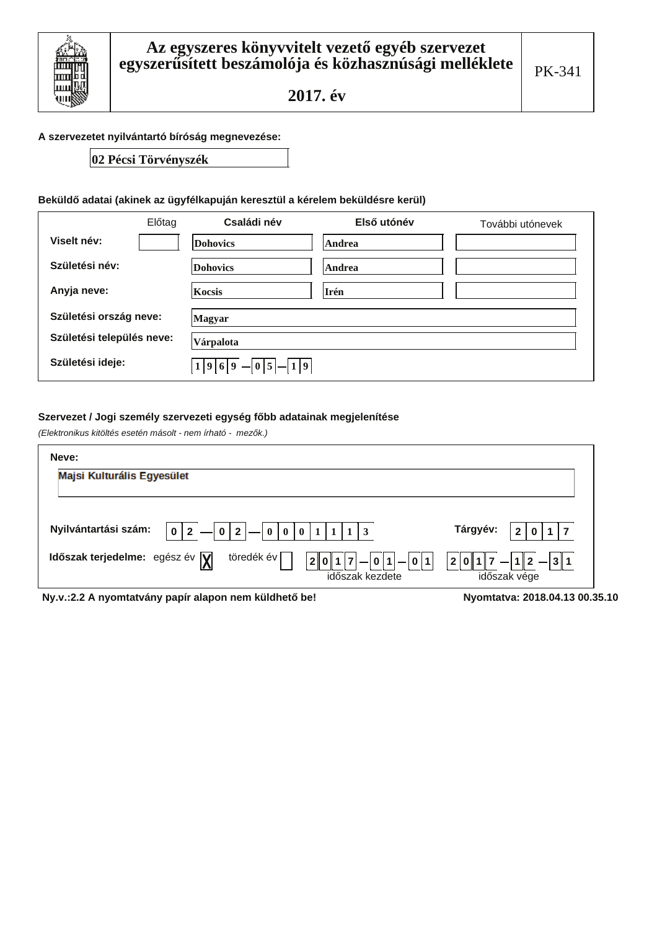

#### A szervezetet nyilvántartó bíróság megnevezése:

## 02 Pécsi Törvényszék

## Beküldő adatai (akinek az ügyfélkapuján keresztül a kérelem beküldésre kerül)

|                           | Előtag | Családi név                 | Első utónév | További utónevek |
|---------------------------|--------|-----------------------------|-------------|------------------|
| Viselt név:               |        | <b>Dohovics</b>             | Andrea      |                  |
| Születési név:            |        | <b>Dohovics</b>             | Andrea      |                  |
| Anyja neve:               |        | <b>Kocsis</b>               | Irén        |                  |
| Születési ország neve:    |        | Magyar                      |             |                  |
| Születési település neve: |        | Várpalota                   |             |                  |
| Születési ideje:          |        | $1 9 6 9 $ - $0 5 $ - $1 9$ |             |                  |

## Szervezet / Jogi személy szervezeti egység főbb adatainak megjelenítése

(Elektronikus kitöltés esetén másolt - nem írható - mezők.)

| Neve:                                                                                                                        |                                              |
|------------------------------------------------------------------------------------------------------------------------------|----------------------------------------------|
| Majsi Kulturális Egyesület                                                                                                   |                                              |
| Nyilvántartási szám:<br>$0 2 $   0   0   0   1   1   1   3<br>$\mathbf 0$<br>$\mathbf{2}$                                    | Tárgyév:                                     |
| töredék év<br>Időszak terjedelme: egész év $\sqrt{\mathbf{y}}$<br>$ 0 1  -  0 1$<br>2 <br>$\qquad \qquad$<br>időszak kezdete | $ 7 - 1 2 - 3 1 $<br> 2 0 1 <br>időszak vége |
| Ny.v.:2.2 A nyomtatvány papír alapon nem küldhető be!                                                                        | Nyomtatva: 2018.04.13 00.35.10               |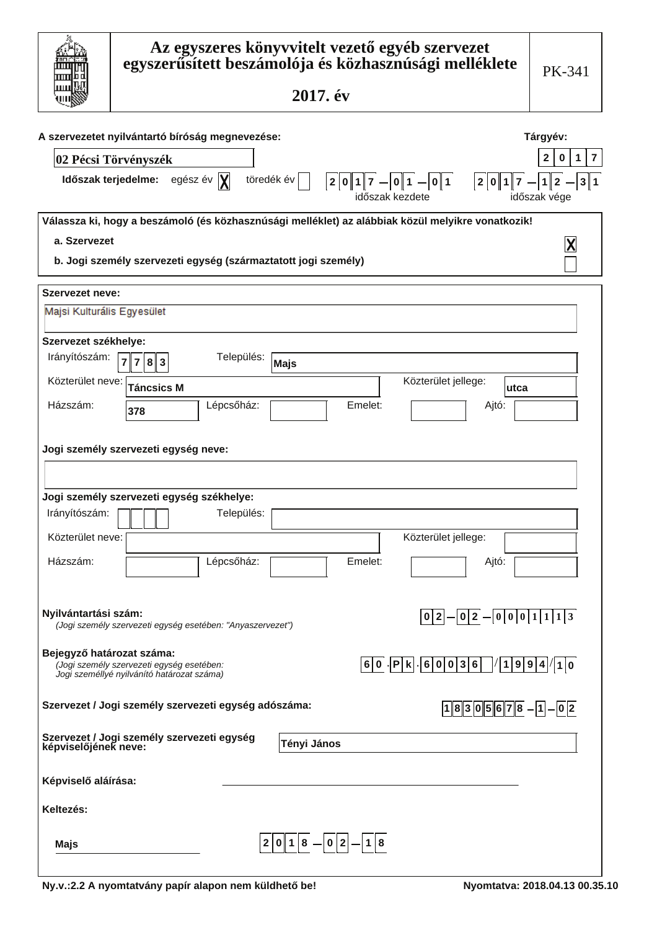|                            | Az egyszeres könyvvitelt vezető egyéb szervezet<br>egyszerűsített beszámolója és közhasznúsági melléklete<br>2017. év                                                    | PK-341                                                     |
|----------------------------|--------------------------------------------------------------------------------------------------------------------------------------------------------------------------|------------------------------------------------------------|
|                            | A szervezetet nyilvántartó bíróság megnevezése:<br>02 Pécsi Törvényszék                                                                                                  | Tárgyév:<br>$\overline{7}$<br>2<br>1<br>0                  |
|                            | töredék év<br>Időszak terjedelme:<br>egész év $ \mathbf{X} $<br>$ 2 0 1 7  -  0 1  -  0 1 $<br>2 0 1 7<br>időszak kezdete                                                | 3 1<br>$\overline{\mathbf{c}}$<br>$1\vert$<br>időszak vége |
|                            | Válassza ki, hogy a beszámoló (és közhasznúsági melléklet) az alábbiak közül melyikre vonatkozik!                                                                        |                                                            |
| a. Szervezet               |                                                                                                                                                                          |                                                            |
|                            | b. Jogi személy szervezeti egység (származtatott jogi személy)                                                                                                           |                                                            |
| Szervezet neve:            |                                                                                                                                                                          |                                                            |
| Majsi Kulturális Egyesület |                                                                                                                                                                          |                                                            |
| Szervezet székhelye:       |                                                                                                                                                                          |                                                            |
| Irányítószám:              | Település:<br>7 8 3<br><b>Majs</b>                                                                                                                                       |                                                            |
| Közterület neve:           | Közterület jellege:<br><b>Táncsics M</b><br>lutca                                                                                                                        |                                                            |
| Házszám:                   | Emelet:<br>Lépcsőház:<br>Ajtó:                                                                                                                                           |                                                            |
|                            | 378                                                                                                                                                                      |                                                            |
|                            | Jogi személy szervezeti egység neve:                                                                                                                                     |                                                            |
|                            |                                                                                                                                                                          |                                                            |
|                            | Jogi személy szervezeti egység székhelye:                                                                                                                                |                                                            |
| Irányítószám:              | Település:                                                                                                                                                               |                                                            |
| Közterület neve:           | Közterület jellege:                                                                                                                                                      |                                                            |
| Házszám:                   | Lépcsőház:<br>Emelet:<br>Ajtó:                                                                                                                                           |                                                            |
|                            |                                                                                                                                                                          |                                                            |
|                            |                                                                                                                                                                          |                                                            |
| Nyilvántartási szám:       | $ 0 2 $ $  0 2$ $  0 0 0 1 1 1 3$<br>(Jogi személy szervezeti egység esetében: "Anyaszervezet")                                                                          |                                                            |
|                            |                                                                                                                                                                          |                                                            |
| Bejegyző határozat száma:  | $\vert P \vert k \vert \vert 6 \vert 0 \vert 0 \vert 3 \vert 6 \vert$<br>6 0 <br>(Jogi személy szervezeti egység esetében:<br>Jogi személlyé nyilvánító határozat száma) | 1 9 9 4 / 1 0                                              |
|                            |                                                                                                                                                                          |                                                            |
|                            | Szervezet / Jogi személy szervezeti egység adószáma:<br>$18305678 - 1 - 02$                                                                                              |                                                            |
| képviselőjének neve:       | Szervezet / Jogi személy szervezeti egység<br>Tényi János                                                                                                                |                                                            |
| Képviselő aláírása:        |                                                                                                                                                                          |                                                            |
| Keltezés:                  |                                                                                                                                                                          |                                                            |
| Majs                       | $2 0 1 8 - 0 2 - 1 8 $                                                                                                                                                   |                                                            |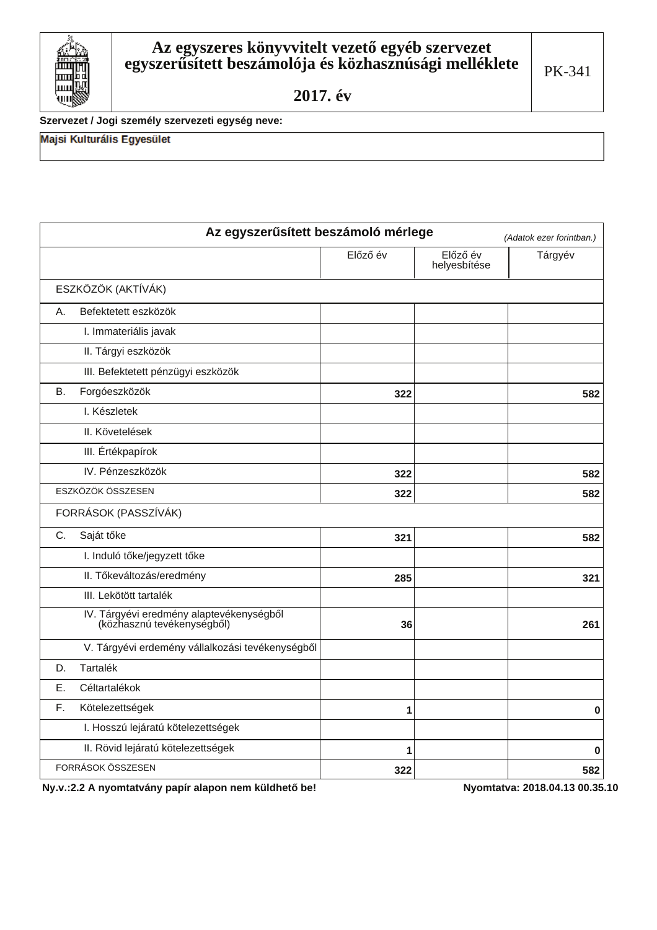Szervezet / Jogi személy szervezeti egység neve:

Majsi Kulturális Egyesület

Ш

| Az egyszerűsített beszámoló mérlege                                    |          |                          | (Adatok ezer forintban.) |
|------------------------------------------------------------------------|----------|--------------------------|--------------------------|
|                                                                        | Előző év | Előző év<br>helyesbítése | Tárgyév                  |
| ESZKÖZÖK (AKTÍVÁK)                                                     |          |                          |                          |
| Befektetett eszközök<br>А.                                             |          |                          |                          |
| I. Immateriális javak                                                  |          |                          |                          |
| II. Tárgyi eszközök                                                    |          |                          |                          |
| III. Befektetett pénzügyi eszközök                                     |          |                          |                          |
| Forgóeszközök<br>В.                                                    | 322      |                          | 582                      |
| I. Készletek                                                           |          |                          |                          |
| II. Követelések                                                        |          |                          |                          |
| III. Értékpapírok                                                      |          |                          |                          |
| IV. Pénzeszközök                                                       | 322      |                          | 582                      |
| ESZKÖZÖK ÖSSZESEN                                                      | 322      |                          | 582                      |
| FORRÁSOK (PASSZÍVÁK)                                                   |          |                          |                          |
| Saját tőke<br>C.                                                       | 321      |                          | 582                      |
| I. Induló tőke/jegyzett tőke                                           |          |                          |                          |
| II. Tőkeváltozás/eredmény                                              | 285      |                          | 321                      |
| III. Lekötött tartalék                                                 |          |                          |                          |
| IV. Tárgyévi eredmény alaptevékenységből<br>(közhasznú tevékenységből) | 36       |                          | 261                      |
| V. Tárgyévi erdemény vállalkozási tevékenységből                       |          |                          |                          |
| Tartalék<br>D.                                                         |          |                          |                          |
| Ε.<br>Céltartalékok                                                    |          |                          |                          |
| F.<br>Kötelezettségek                                                  | 1        |                          | 0                        |
| I. Hosszú lejáratú kötelezettségek                                     |          |                          |                          |
| II. Rövid lejáratú kötelezettségek                                     | 1        |                          | 0                        |
| FORRÁSOK ÖSSZESEN                                                      | 322      |                          | 582                      |

Ny.v.:2.2 A nyomtatvány papír alapon nem küldhető be!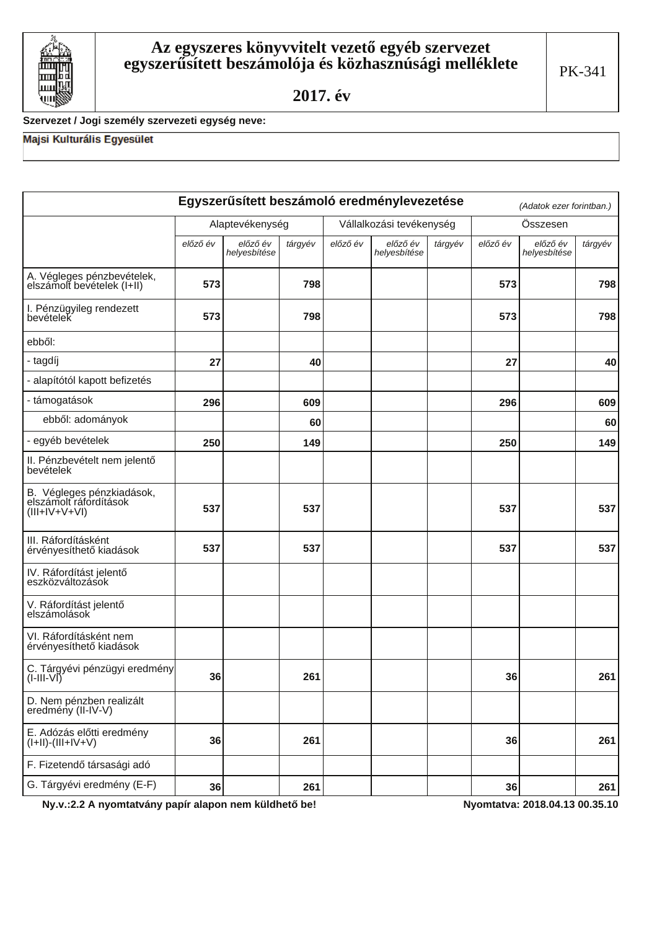

# Szervezet / Jogi személy szervezeti egység neve:

# Majsi Kulturális Egyesület

|                                                                       |          |                          |         |                          | Egyszerűsített beszámoló eredménylevezetése |         |          | (Adatok ezer forintban.) |         |
|-----------------------------------------------------------------------|----------|--------------------------|---------|--------------------------|---------------------------------------------|---------|----------|--------------------------|---------|
|                                                                       |          | Alaptevékenység          |         | Vállalkozási tevékenység |                                             |         |          | Összesen                 |         |
|                                                                       | előző év | előző év<br>helyesbítése | tárgyév | előző év                 | előző év<br>helyesbítése                    | tárgyév | előző év | előző év<br>helyesbítése | tárgyév |
| A. Végleges pénzbevételek,<br>elszámolt bevételek (I+II)              | 573      |                          | 798     |                          |                                             |         | 573      |                          | 798     |
| I. Pénzügyileg rendezett<br>bevételek                                 | 573      |                          | 798     |                          |                                             |         | 573      |                          | 798     |
| ebből:                                                                |          |                          |         |                          |                                             |         |          |                          |         |
| - tagdíj                                                              | 27       |                          | 40      |                          |                                             |         | 27       |                          | 40      |
| - alapítótól kapott befizetés                                         |          |                          |         |                          |                                             |         |          |                          |         |
| - támogatások                                                         | 296      |                          | 609     |                          |                                             |         | 296      |                          | 609     |
| ebből: adományok                                                      |          |                          | 60      |                          |                                             |         |          |                          | 60      |
| - egyéb bevételek                                                     | 250      |                          | 149     |                          |                                             |         | 250      |                          | 149     |
| II. Pénzbevételt nem jelentő<br>bevételek                             |          |                          |         |                          |                                             |         |          |                          |         |
| B. Végleges pénzkiadások,<br>elszámolt ráfordítások<br>$(III+V+V+VI)$ | 537      |                          | 537     |                          |                                             |         | 537      |                          | 537     |
| III. Ráfordításként<br>érvényesíthető kiadások                        | 537      |                          | 537     |                          |                                             |         | 537      |                          | 537     |
| IV. Ráfordítást jelentő<br>eszközváltozások                           |          |                          |         |                          |                                             |         |          |                          |         |
| V. Ráfordítást jelentő<br>elszámolások                                |          |                          |         |                          |                                             |         |          |                          |         |
| VI. Ráfordításként nem<br>érvényesíthető kiadások                     |          |                          |         |                          |                                             |         |          |                          |         |
| C. Tárgyévi pénzügyi eredmény<br>$(I-III-VI)$                         | 36       |                          | 261     |                          |                                             |         | 36       |                          | 261     |
| D. Nem pénzben realizált<br>eredmény (II-IV-V)                        |          |                          |         |                          |                                             |         |          |                          |         |
| E. Adózás előtti eredmény<br>$(I+II)-(III+IV+V)$                      | 36       |                          | 261     |                          |                                             |         | 36       |                          | 261     |
| F. Fizetendő társasági adó                                            |          |                          |         |                          |                                             |         |          |                          |         |
| G. Tárgyévi eredmény (E-F)                                            | 36       |                          | 261     |                          |                                             |         | 36       |                          | 261     |

Ny.v.:2.2 A nyomtatvány papír alapon nem küldhető be!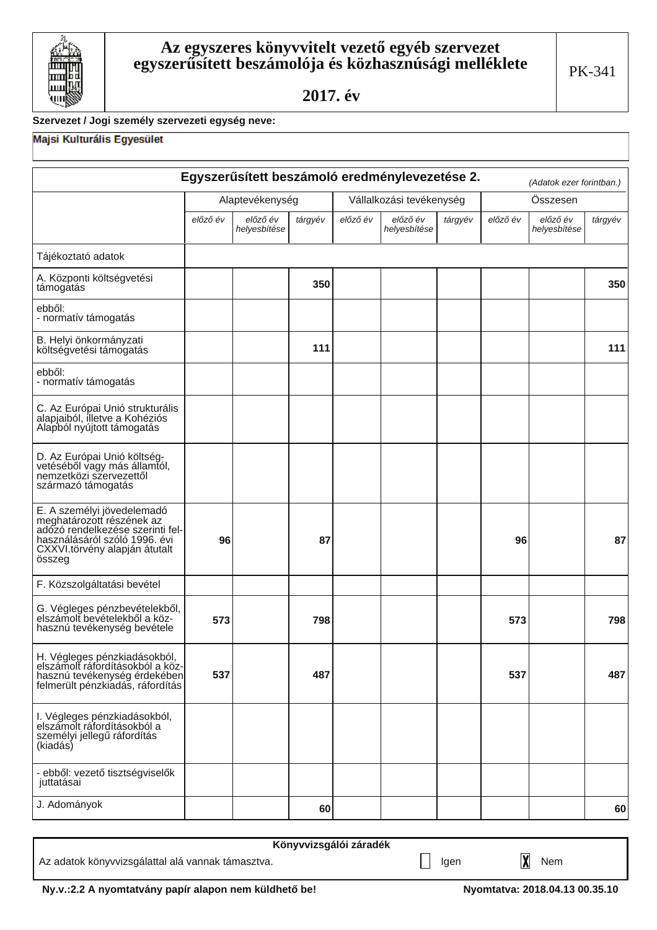

# Szervezet / Jogi személy szervezeti egység neve:

# Majsi Kulturális Egyesület

|                                                                                                                                                                         | Egyszerűsített beszámoló eredménylevezetése 2.<br>(Adatok ezer forintban.) |                          |         |          |                          |         |          |                          |         |
|-------------------------------------------------------------------------------------------------------------------------------------------------------------------------|----------------------------------------------------------------------------|--------------------------|---------|----------|--------------------------|---------|----------|--------------------------|---------|
|                                                                                                                                                                         |                                                                            | Alaptevékenység          |         |          | Vállalkozási tevékenység |         |          | Összesen                 |         |
|                                                                                                                                                                         | előző év                                                                   | előző év<br>helyesbítése | tárgyév | előző év | előző év<br>helyesbítése | tárgyév | előző év | előző év<br>helyesbítése | tárgyév |
| Tájékoztató adatok                                                                                                                                                      |                                                                            |                          |         |          |                          |         |          |                          |         |
| A. Központi költségvetési<br>támogatás                                                                                                                                  |                                                                            |                          | 350     |          |                          |         |          |                          | 350     |
| ebből:<br>- normatív támogatás                                                                                                                                          |                                                                            |                          |         |          |                          |         |          |                          |         |
| B. Helyi önkormányzati<br>költségvetési támogatás                                                                                                                       |                                                                            |                          | 111     |          |                          |         |          |                          | 111     |
| ebből:<br>- normatív támogatás                                                                                                                                          |                                                                            |                          |         |          |                          |         |          |                          |         |
| C. Az Európai Unió strukturális<br>alapjaiból, illetve a Kohéziós<br>Alapból nyújtott támogatás                                                                         |                                                                            |                          |         |          |                          |         |          |                          |         |
| D. Az Európai Unió költség-<br>vetéséből vagy más államtól,<br>nemzetközi szervezettől<br>származó támogatás                                                            |                                                                            |                          |         |          |                          |         |          |                          |         |
| E. A személyi jövedelemadó<br>meghatározott részének az<br>adózó rendelkezése szerinti fel-<br>használásáról szóló 1996. évi<br>CXXVI.törvény alapján átutalt<br>összeg | 96                                                                         |                          | 87      |          |                          |         | 96       |                          | 87      |
| F. Közszolgáltatási bevétel                                                                                                                                             |                                                                            |                          |         |          |                          |         |          |                          |         |
| G. Végleges pénzbevételekből,<br>elszámolt bevételekből a köz-<br>hasznú tevékenység bevétele                                                                           | 573                                                                        |                          | 798     |          |                          |         | 573      |                          | 798     |
| H. Végleges pénzkiadásokból,<br>elszámolt ráfordításokból a köz-<br>hasznú tevékenység érdekében<br>felmerült pénzkiadás, ráfordítás                                    | 537                                                                        |                          | 487     |          |                          |         | 537      |                          | 487     |
| I. Végleges pénzkiadásokból,<br>elszámolt ráfordításokból a<br>személyi jellegű ráfordítás<br>(kiadás)                                                                  |                                                                            |                          |         |          |                          |         |          |                          |         |
| - ebből: vezető tisztségviselők<br>juttatásai                                                                                                                           |                                                                            |                          |         |          |                          |         |          |                          |         |
| J. Adományok                                                                                                                                                            |                                                                            |                          | 60      |          |                          |         |          |                          | 60      |

|                                                   | Könyvvizsgálói záradék |      |     |
|---------------------------------------------------|------------------------|------|-----|
| Az adatok könyvvizsgálattal alá vannak támasztva. |                        | laen | Nem |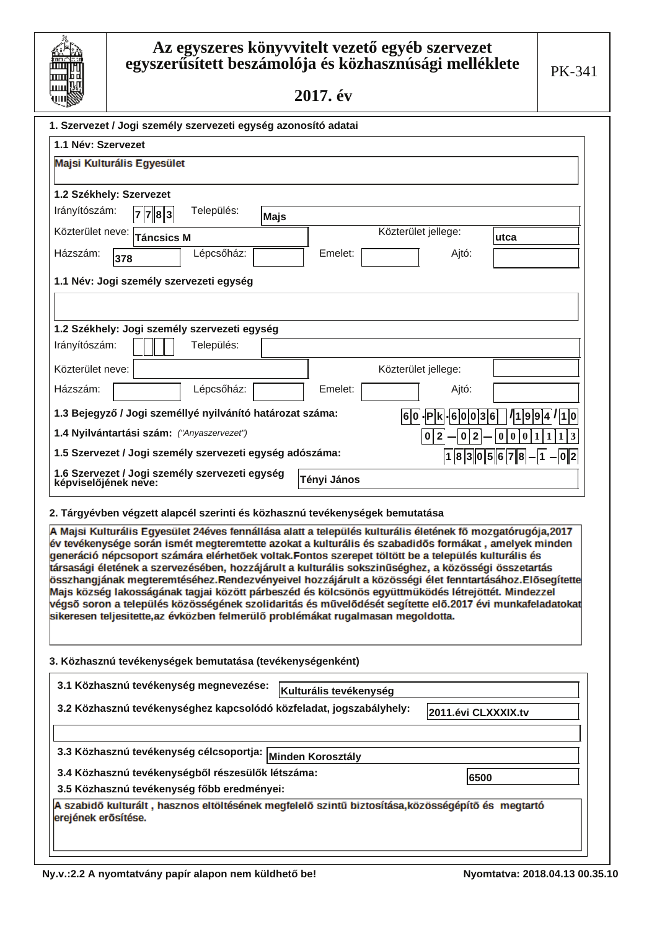# Az egyszeres könyvvitelt vezető egyéb szervezet<br>egyszerűsített beszámolója és közhasznúsági melléklete

2017. év

| 1. Szervezet / Jogi személy szervezeti egység azonosító adatai                                                                                                                                               |                                         |                                                           |
|--------------------------------------------------------------------------------------------------------------------------------------------------------------------------------------------------------------|-----------------------------------------|-----------------------------------------------------------|
| 1.1 Név: Szervezet                                                                                                                                                                                           |                                         |                                                           |
| Majsi Kulturális Egyesület                                                                                                                                                                                   |                                         |                                                           |
|                                                                                                                                                                                                              |                                         |                                                           |
| 1.2 Székhely: Szervezet<br>Irányítószám:<br>Település:                                                                                                                                                       |                                         |                                                           |
| 7<br> 7 8 3<br>Majs                                                                                                                                                                                          |                                         |                                                           |
| Közterület neve:<br><b>Táncsics M</b>                                                                                                                                                                        | Közterület jellege:                     | utca                                                      |
| Lépcsőház:<br>Emelet:<br>Házszám:<br>378                                                                                                                                                                     | Ajtó:                                   |                                                           |
| 1.1 Név: Jogi személy szervezeti egység                                                                                                                                                                      |                                         |                                                           |
|                                                                                                                                                                                                              |                                         |                                                           |
|                                                                                                                                                                                                              |                                         |                                                           |
| 1.2 Székhely: Jogi személy szervezeti egység                                                                                                                                                                 |                                         |                                                           |
| Irányítószám:<br>Település:                                                                                                                                                                                  |                                         |                                                           |
| Közterület neve:                                                                                                                                                                                             | Közterület jellege:                     |                                                           |
| Házszám:<br>Lépcsőház:<br>Emelet:                                                                                                                                                                            | Ajtó:                                   |                                                           |
| 1.3 Bejegyző / Jogi személlyé nyilvánító határozat száma:                                                                                                                                                    | 6 0 - P k - 6 0 0 3 6                   | $\frac{1}{9}9 4 1 1 0$                                    |
| 1.4 Nyilvántartási szám: ("Anyaszervezet")                                                                                                                                                                   | 0 2 <br>$\mathbf 2$<br>$\boldsymbol{0}$ | $\bf{0}$<br> 0 1<br>$\boldsymbol{0}$<br>$\vert$ 1<br> 1 3 |
| 1.5 Szervezet / Jogi személy szervezeti egység adószáma:                                                                                                                                                     | 1 8 3 0 5 6 7 8                         | $- 1 $ - $ 0 2$                                           |
| 1.6 Szervezet / Jogi személy szervezeti egység                                                                                                                                                               |                                         |                                                           |
| Tényi János<br>képviselőjének neve:                                                                                                                                                                          |                                         |                                                           |
| 2. Tárgyévben végzett alapcél szerinti és közhasznú tevékenységek bemutatása                                                                                                                                 |                                         |                                                           |
| A Majsi Kulturális Egyesület 24éves fennállása alatt a település kulturális életének fő mozgatórugója,2017                                                                                                   |                                         |                                                           |
| év tevékenysége során ismét megteremtette azokat a kulturális és szabadidős formákat , amelyek minden<br>generáció népcsoport számára elérhetőek voltak.Fontos szerepet töltött be a település kulturális és |                                         |                                                           |
| társasági életének a szervezésében, hozzájárult a kulturális sokszinűséghez, a közösségi összetartás                                                                                                         |                                         |                                                           |
| összhangjának megteremtéséhez.Rendezvényeivel hozzájárult a közösségi élet fenntartásához.Elősegítette<br>Majs község lakosságának tagjai között párbeszéd és kölcsönös együttmüködés létrejöttét. Mindezzel |                                         |                                                           |
| végső soron a település közösségének szolidaritás és művelődését segítette elő.2017 évi munkafeladatokat                                                                                                     |                                         |                                                           |
| sikeresen teljesitette,az évközben felmerülő problémákat rugalmasan megoldotta.                                                                                                                              |                                         |                                                           |
|                                                                                                                                                                                                              |                                         |                                                           |
| 3. Közhasznú tevékenységek bemutatása (tevékenységenként)                                                                                                                                                    |                                         |                                                           |
| 3.1 Közhasznú tevékenység megnevezése:<br>Kulturális tevékenység                                                                                                                                             |                                         |                                                           |
| 3.2 Közhasznú tevékenységhez kapcsolódó közfeladat, jogszabályhely:                                                                                                                                          |                                         |                                                           |
|                                                                                                                                                                                                              | 2011.évi CLXXXIX.tv                     |                                                           |
|                                                                                                                                                                                                              |                                         |                                                           |
| 3.3 Közhasznú tevékenység célcsoportja:<br>Minden Korosztály                                                                                                                                                 |                                         |                                                           |
| 3.4 Közhasznú tevékenységből részesülők létszáma:                                                                                                                                                            | 6500                                    |                                                           |
| 3.5 Közhasznú tevékenység főbb eredményei:<br>A szabidő kulturált, hasznos eltöltésének megfelelő szintű biztosítása,közösségépítő és megtartó                                                               |                                         |                                                           |
| erejének erősítése.                                                                                                                                                                                          |                                         |                                                           |
|                                                                                                                                                                                                              |                                         |                                                           |
|                                                                                                                                                                                                              |                                         |                                                           |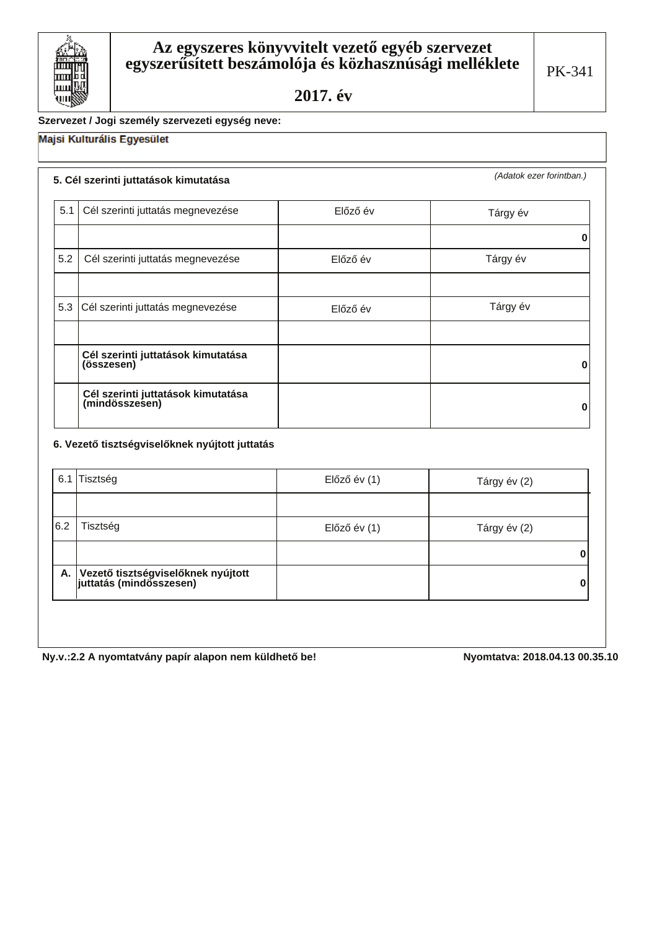

# Szervezet / Jogi személy szervezeti egység neve:

# Majsi Kulturális Egyesület

# 5. Cél szerinti juttatások kimutatása

(Adatok ezer forintban.)

| 5.1 | Cél szerinti juttatás megnevezése                    | Előző év | Tárgy év |
|-----|------------------------------------------------------|----------|----------|
|     |                                                      |          | 0        |
| 5.2 | Cél szerinti juttatás megnevezése                    | Előző év | Tárgy év |
|     |                                                      |          |          |
|     | 5.3 Cél szerinti juttatás megnevezése                | Előző év | Tárgy év |
|     |                                                      |          |          |
|     | Cél szerinti juttatások kimutatása<br>(összesen)     |          | n        |
|     | Cél szerinti juttatások kimutatása<br>(mindösszesen) |          | O        |

## 6. Vezető tisztségviselőknek nyújtott juttatás

|     | 6.1 Tisztség                                                     | Előző év (1) | Tárgy év (2) |
|-----|------------------------------------------------------------------|--------------|--------------|
|     |                                                                  |              |              |
| 6.2 | Tisztség                                                         | Előző év (1) | Tárgy év (2) |
|     |                                                                  |              |              |
|     | A. Vezető tisztségviselőknek nyújtott<br>juttatás (mindösszesen) |              | 0            |
|     |                                                                  |              |              |

Ny.v.:2.2 A nyomtatvány papír alapon nem küldhető be!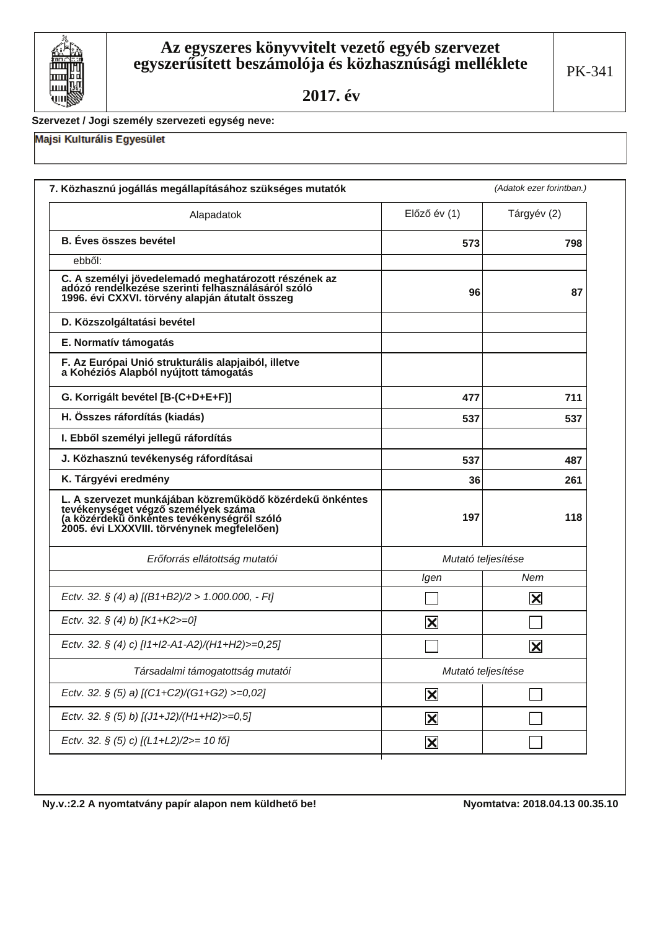

### Szervezet / Jogi személy szervezeti egység neve:

## Majsi Kulturális Egyesület

| Alapadatok                                                                                                                                                                                   | $El$ őző év $(1)$       | Tárgyév (2)    |
|----------------------------------------------------------------------------------------------------------------------------------------------------------------------------------------------|-------------------------|----------------|
| <b>B.</b> Éves összes bevétel                                                                                                                                                                | 573                     | 798            |
| ebből:                                                                                                                                                                                       |                         |                |
| C. A személyi jövedelemadó meghatározott részének az<br>adózó rendelkezése szerinti felhasználásáról szóló<br>1996. évi CXXVI. törvény alapján átutalt összeg                                | 96                      | 87             |
| D. Közszolgáltatási bevétel                                                                                                                                                                  |                         |                |
| E. Normatív támogatás                                                                                                                                                                        |                         |                |
| F. Az Európai Unió strukturális alapjaiból, illetve<br>a Kohéziós Alapból nyújtott támogatás                                                                                                 |                         |                |
| G. Korrigált bevétel [B-(C+D+E+F)]                                                                                                                                                           | 477                     | 711            |
| H. Összes ráfordítás (kiadás)                                                                                                                                                                | 537                     | 537            |
| I. Ebből személyi jellegű ráfordítás                                                                                                                                                         |                         |                |
| J. Közhasznú tevékenység ráfordításai                                                                                                                                                        | 537                     | 487            |
| K. Tárgyévi eredmény                                                                                                                                                                         | 36                      | 261            |
| L. A szervezet munkájában közreműködő közérdekű önkéntes<br>tevékenységet végző személyek száma<br>(a közérdekű önkéntes tevékenységről szóló<br>2005. évi LXXXVIII. törvénynek megfelelően) | 197                     | 118            |
| Erőforrás ellátottság mutatói                                                                                                                                                                | Mutató teljesítése      |                |
|                                                                                                                                                                                              | Igen                    | Nem            |
| Ectv. 32. § (4) a) $[(B1+B2)/2 > 1.000.000, -Ft]$                                                                                                                                            |                         | $ \mathsf{X} $ |
| Ectv. 32. § (4) b) [K1+K2>=0]                                                                                                                                                                | $\vert\mathsf{x}\vert$  |                |
| Ectv. 32. § (4) c) [I1+I2-A1-A2)/(H1+H2)>=0,25]                                                                                                                                              |                         | $ \mathsf{X} $ |
| Társadalmi támogatottság mutatói                                                                                                                                                             | Mutató teljesítése      |                |
| Ectv. 32. § (5) a) [(C1+C2)/(G1+G2) >=0,02]                                                                                                                                                  | $\mathbf{\overline{X}}$ |                |
| Ectv. 32. § (5) b) [(J1+J2)/(H1+H2)>=0,5]                                                                                                                                                    | $\overline{\mathbf{X}}$ |                |
| Ectv. 32. § (5) c) [(L1+L2)/2>= 10 fő]                                                                                                                                                       | $\mathbf{\overline{X}}$ |                |

Ny.v.:2.2 A nyomtatvány papír alapon nem küldhető be!